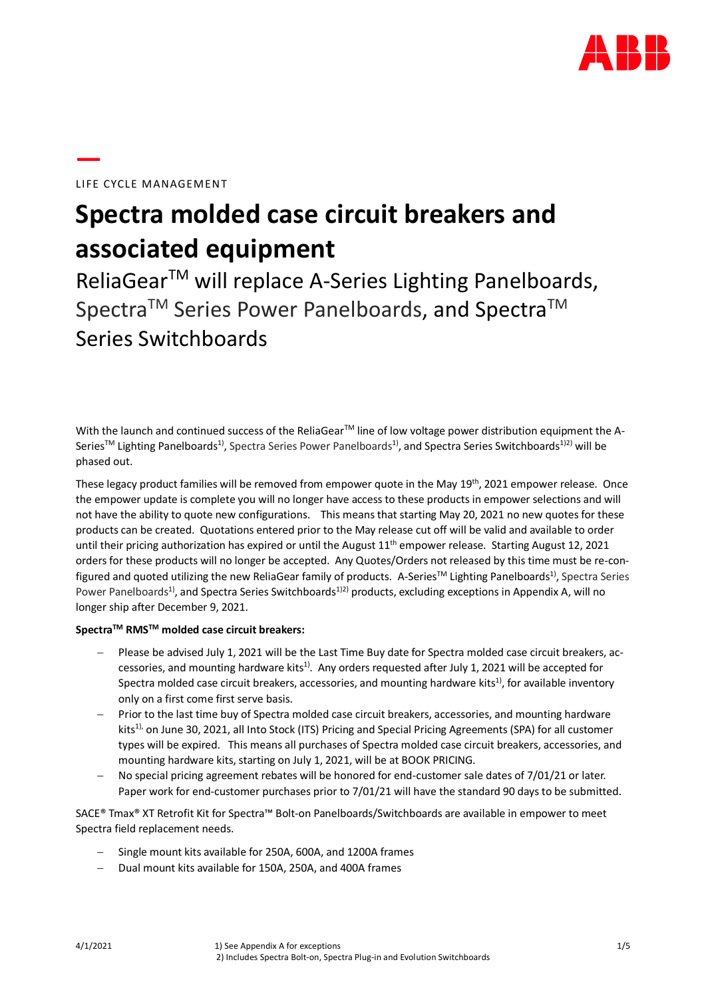

# LIFE CYCLE MANAGEMENT

**—**

# **Spectra molded case circuit breakers and associated equipment**

ReliaGear<sup>™</sup> will replace A-Series Lighting Panelboards, Spectra<sup>™</sup> Series Power Panelboards, and Spectra<sup>™</sup> Series Switchboards

With the launch and continued success of the ReliaGear™ line of low voltage power distribution equipment the A-Series™ Lighting Panelboards<sup>1)</sup>, Spectra Series Power Panelboards<sup>1)</sup>, and Spectra Series Switchboards<sup>1)2)</sup> will be phased out.

These legacy product families will be removed from empower quote in the May 19<sup>th</sup>, 2021 empower release. Once the empower update is complete you will no longer have access to these products in empower selections and will not have the ability to quote new configurations. This means that starting May 20, 2021 no new quotes for these products can be created. Quotations entered prior to the May release cut off will be valid and available to order until their pricing authorization has expired or until the August  $11<sup>th</sup>$  empower release. Starting August 12, 2021 orders for these products will no longer be accepted. Any Quotes/Orders not released by this time must be re-configured and quoted utilizing the new ReliaGear family of products. A-Series™ Lighting Panelboards<sup>1)</sup>, Spectra Series Power Panelboards<sup>1)</sup>, and Spectra Series Switchboards<sup>1)2)</sup> products, excluding exceptions in Appendix A, will no longer ship after December 9, 2021.

# **SpectraTM RMSTM molded case circuit breakers:**

- Please be advised July 1, 2021 will be the Last Time Buy date for Spectra molded case circuit breakers, accessories, and mounting hardware kits<sup>1)</sup>. Any orders requested after July 1, 2021 will be accepted for Spectra molded case circuit breakers, accessories, and mounting hardware kits<sup>1)</sup>, for available inventory only on a first come first serve basis.
- Prior to the last time buy of Spectra molded case circuit breakers, accessories, and mounting hardware kits<sup>1),</sup> on June 30, 2021, all Into Stock (ITS) Pricing and Special Pricing Agreements (SPA) for all customer types will be expired. This means all purchases of Spectra molded case circuit breakers, accessories, and mounting hardware kits, starting on July 1, 2021, will be at BOOK PRICING.
- No special pricing agreement rebates will be honored for end-customer sale dates of 7/01/21 or later. Paper work for end-customer purchases prior to 7/01/21 will have the standard 90 days to be submitted.

SACE® Tmax® XT Retrofit Kit for Spectra™ Bolt-on Panelboards/Switchboards are available in empower to meet Spectra field replacement needs.

- Single mount kits available for 250A, 600A, and 1200A frames
- − Dual mount kits available for 150A, 250A, and 400A frames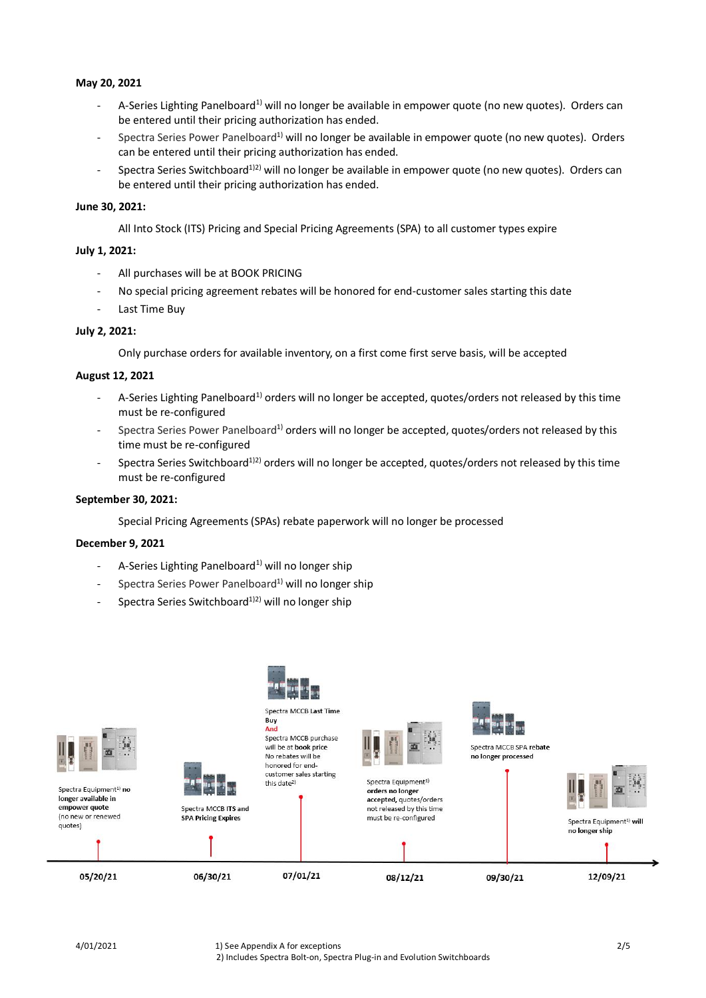#### **May 20, 2021**

- A-Series Lighting Panelboard<sup>1)</sup> will no longer be available in empower quote (no new quotes). Orders can be entered until their pricing authorization has ended.
- Spectra Series Power Panelboard<sup>1)</sup> will no longer be available in empower quote (no new quotes). Orders can be entered until their pricing authorization has ended.
- Spectra Series Switchboard<sup>1)2)</sup> will no longer be available in empower quote (no new quotes). Orders can be entered until their pricing authorization has ended.

#### **June 30, 2021:**

All Into Stock (ITS) Pricing and Special Pricing Agreements (SPA) to all customer types expire

#### **July 1, 2021:**

- All purchases will be at BOOK PRICING
- No special pricing agreement rebates will be honored for end-customer sales starting this date
- Last Time Buy

# **July 2, 2021:**

Only purchase orders for available inventory, on a first come first serve basis, will be accepted

#### **August 12, 2021**

- A-Series Lighting Panelboard<sup>1)</sup> orders will no longer be accepted, quotes/orders not released by this time must be re-configured
- Spectra Series Power Panelboard<sup>1)</sup> orders will no longer be accepted, quotes/orders not released by this time must be re-configured
- Spectra Series Switchboard<sup>1)2)</sup> orders will no longer be accepted, quotes/orders not released by this time must be re-configured

#### **September 30, 2021:**

Special Pricing Agreements (SPAs) rebate paperwork will no longer be processed

#### **December 9, 2021**

- A-Series Lighting Panelboard<sup>1)</sup> will no longer ship
- Spectra Series Power Panelboard<sup>1)</sup> will no longer ship
- Spectra Series Switchboard<sup>1)2)</sup> will no longer ship

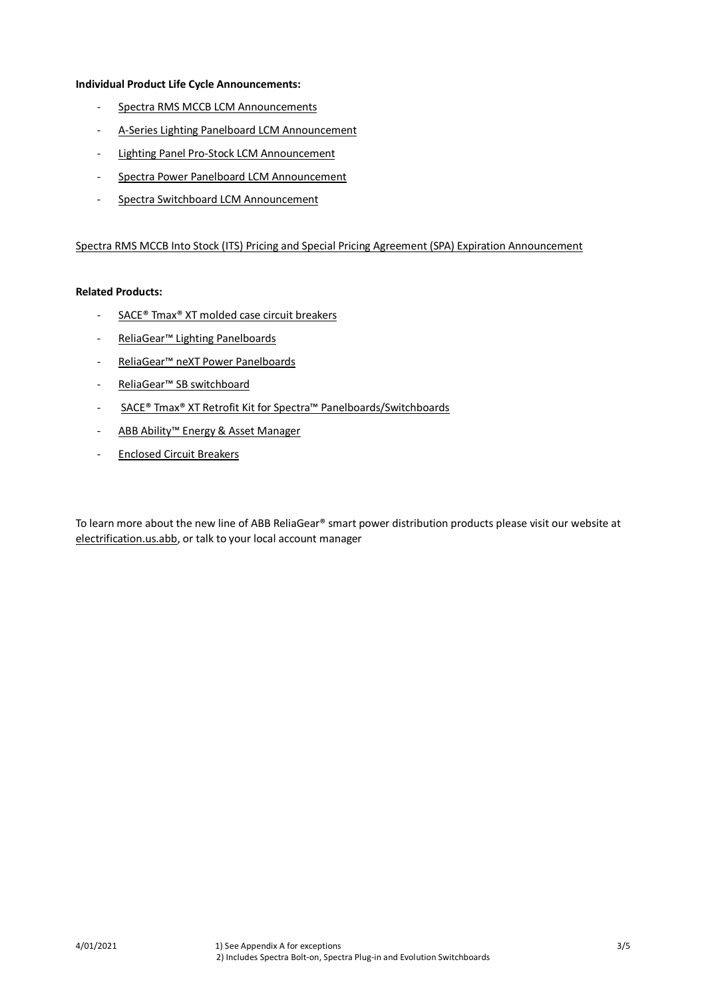#### **Individual Product Life Cycle Announcements:**

- [Spectra RMS MCCB LCM Announcements](https://marketlink.tnb.com/market-link/spectra-rms-molded-case-circuit-breakers/)
- [A-Series Lighting Panelboard LCM Announcement](https://marketlink.tnb.com/market-link/a-series-lighting-panelboards/)
- Lighting [Panel Pro-Stock LCM Announcement](https://marketlink.tnb.com/market-link/a-series-pro-stock-main-breaker-kits-for-lighting-panelboards/)
- [Spectra Power Panelboard LCM Announcement](https://marketlink.tnb.com/market-link/spectra-power-panelboards/)
- [Spectra Switchboard](https://marketlink.tnb.com/market-link/spectra-switchboards/) LCM Announcement

#### [Spectra RMS MCCB Into Stock \(ITS\) Pricing and Special Pricing Agreement \(SPA\) Expiration Announcement](https://marketlink.tnb.com/market-link/into-stock-its-pricing-and-special-pricing-agreement-spa-expiration/)

### **Related Products:**

- [SACE® Tmax® XT molded case circuit breakers](https://electrification.us.abb.com/products/circuit-breakers/tmax-xt)
- [ReliaGear™ Lighting Panelboards](https://electrification.us.abb.com/products/panelboards/reliagear-lighting-panelboards)
- [ReliaGear™ neXT Power Panelboards](https://electrification.us.abb.com/products/panelboards/reliagear-next-power-panels)
- [ReliaGear™ SB switchboard](https://electrification.us.abb.com/products/switchboards/reliagear-sb-switchboard)
- [SACE® Tmax® XT Retrofit Kit for Spectra™ Panelboards/Switchboards](https://electrification.us.abb.com/products/circuit-breakers/tmax-xt-retrofit-kit-spectra-panelboards)
- [ABB Ability™ Energy & Asset Manager](https://electrification.us.abb.com/products/monitoring-control/abb-ability-energy-asset-manager)
- [Enclosed Circuit Breakers](https://electrification.us.abb.com/products/circuit-breakers/enclosed-circuit-breakers)

To learn more about the new line of ABB ReliaGear® smart power distribution products please visit our website at [electrification.us.abb,](https://electrification.us.abb.com/) or talk to your local account manager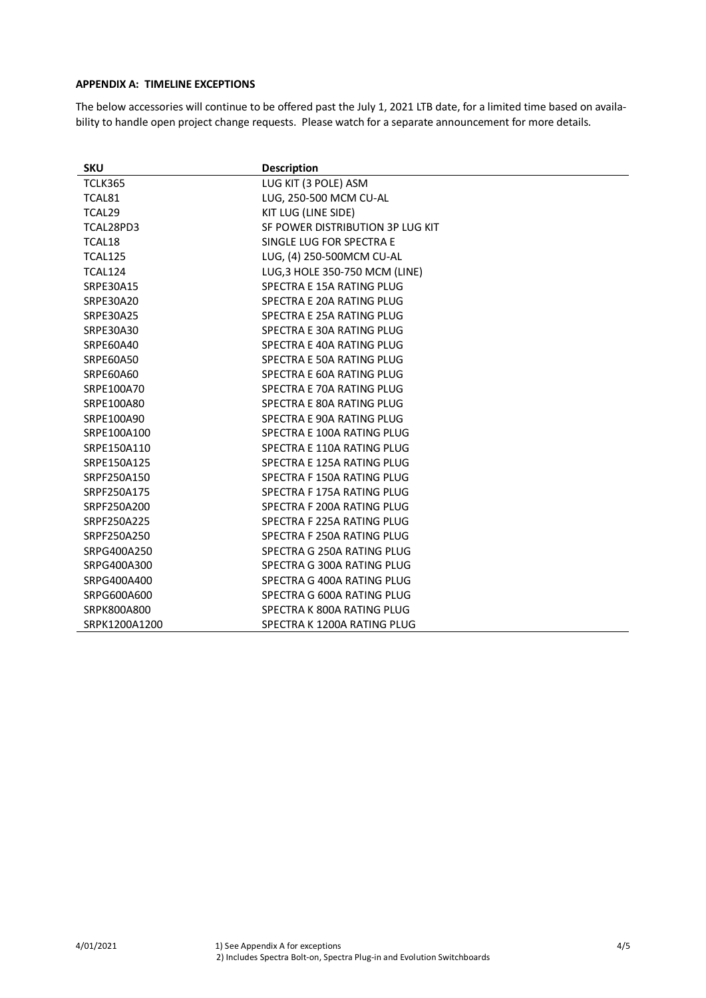# **APPENDIX A: TIMELINE EXCEPTIONS**

The below accessories will continue to be offered past the July 1, 2021 LTB date, for a limited time based on availability to handle open project change requests. Please watch for a separate announcement for more details.

| <b>SKU</b>       | <b>Description</b>               |
|------------------|----------------------------------|
| <b>TCLK365</b>   | LUG KIT (3 POLE) ASM             |
| TCAL81           | LUG, 250-500 MCM CU-AL           |
| TCAL29           | KIT LUG (LINE SIDE)              |
| TCAL28PD3        | SF POWER DISTRIBUTION 3P LUG KIT |
| TCAL18           | SINGLE LUG FOR SPECTRA E         |
| <b>TCAL125</b>   | LUG, (4) 250-500MCM CU-AL        |
| TCAL124          | LUG, 3 HOLE 350-750 MCM (LINE)   |
| SRPE30A15        | SPECTRA E 15A RATING PLUG        |
| <b>SRPE30A20</b> | SPECTRA E 20A RATING PLUG        |
| <b>SRPE30A25</b> | SPECTRA E 25A RATING PLUG        |
| SRPE30A30        | SPECTRA E 30A RATING PLUG        |
| SRPE60A40        | SPECTRA E 40A RATING PLUG        |
| <b>SRPE60A50</b> | SPECTRA E 50A RATING PLUG        |
| <b>SRPE60A60</b> | SPECTRA E 60A RATING PLUG        |
| SRPE100A70       | SPECTRA E 70A RATING PLUG        |
| SRPE100A80       | SPECTRA E 80A RATING PLUG        |
| SRPE100A90       | SPECTRA E 90A RATING PLUG        |
| SRPE100A100      | SPECTRA E 100A RATING PLUG       |
| SRPE150A110      | SPECTRA E 110A RATING PLUG       |
| SRPE150A125      | SPECTRA E 125A RATING PLUG       |
| SRPF250A150      | SPECTRA F 150A RATING PLUG       |
| SRPF250A175      | SPECTRA F 175A RATING PLUG       |
| SRPF250A200      | SPECTRA F 200A RATING PLUG       |
| SRPF250A225      | SPECTRA F 225A RATING PLUG       |
| SRPF250A250      | SPECTRA F 250A RATING PLUG       |
| SRPG400A250      | SPECTRA G 250A RATING PLUG       |
| SRPG400A300      | SPECTRA G 300A RATING PLUG       |
| SRPG400A400      | SPECTRA G 400A RATING PLUG       |
| SRPG600A600      | SPECTRA G 600A RATING PLUG       |
| SRPK800A800      | SPECTRA K 800A RATING PLUG       |
| SRPK1200A1200    | SPECTRA K 1200A RATING PLUG      |